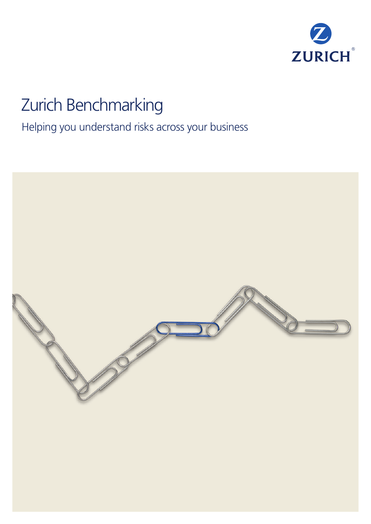

# Zurich Benchmarking

Helping you understand risks across your business

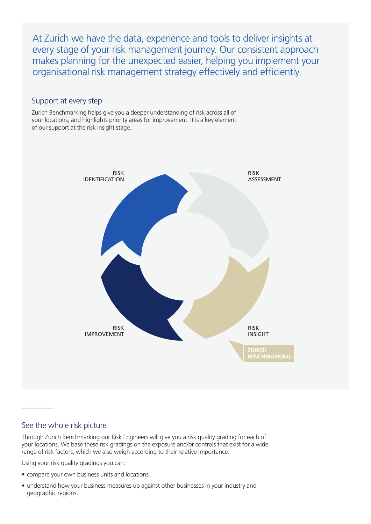At Zurich we have the data, experience and tools to deliver insights at every stage of your risk management journey. Our consistent approach makes planning for the unexpected easier, helping you implement your organisational risk management strategy effectively and efficiently.

## Support at every step

Zurich Benchmarking helps give you a deeper understanding of risk across all of your locations, and highlights priority areas for improvement. It is a key element of our support at the risk insight stage.



## See the whole risk picture

Through Zurich Benchmarking our Risk Engineers will give you a risk quality grading for each of your locations. We base these risk gradings on the exposure and/or controls that exist for a wide range of risk factors, which we also weigh according to their relative importance.

Using your risk quality gradings you can:

- compare your own business units and locations
- understand how your business measures up against other businesses in your industry and geographic regions.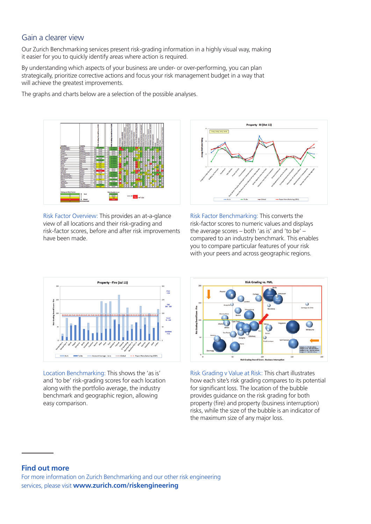### Gain a clearer view

Our Zurich Benchmarking services present risk-grading information in a highly visual way, making it easier for you to quickly identify areas where action is required.

By understanding which aspects of your business are under- or over-performing, you can plan strategically, prioritize corrective actions and focus your risk management budget in a way that will achieve the greatest improvements.

The graphs and charts below are a selection of the possible analyses.



Risk Factor Overview: This provides an at-a-glance view of all locations and their risk-grading and risk-factor scores, before and after risk improvements have been made.



Risk Factor Benchmarking: This converts the risk-factor scores to numeric values and displays the average scores – both 'as is' and 'to be' – compared to an industry benchmark. This enables you to compare particular features of your risk with your peers and across geographic regions.



Location Benchmarking: This shows the 'as is' and 'to be' risk-grading scores for each location along with the portfolio average, the industry benchmark and geographic region, allowing easy comparison.



Risk Grading v Value at Risk: This chart illustrates how each site's risk grading compares to its potential for significant loss. The location of the bubble provides guidance on the risk grading for both property (fire) and property (business interruption) risks, while the size of the bubble is an indicator of the maximum size of any major loss.

#### **Find out more**

For more information on Zurich Benchmarking and our other risk engineering services, please visit **www.zurich.com/riskengineering**